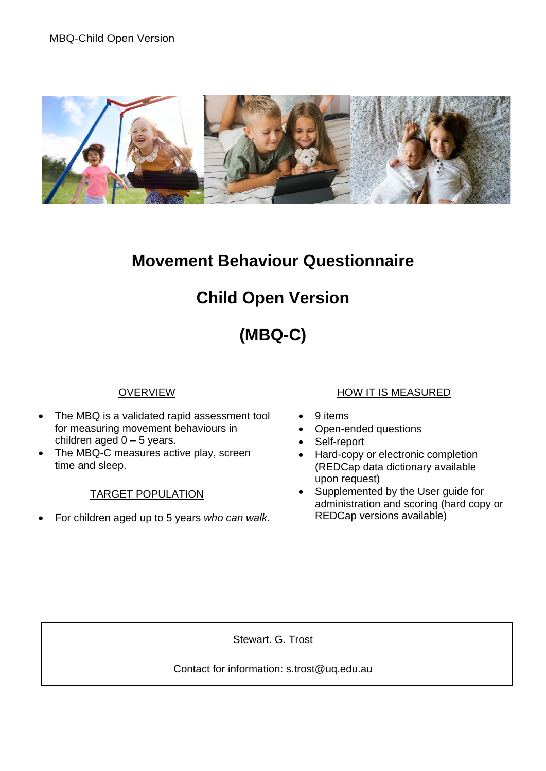

## **Movement Behaviour Questionnaire**

## **Child Open Version**

# **(MBQ-C)**

### OVERVIEW

- The MBQ is a validated rapid assessment tool for measuring movement behaviours in children aged  $0 - 5$  years.
- The MBQ-C measures active play, screen time and sleep.

#### TARGET POPULATION

• For children aged up to 5 years *who can walk*.

#### HOW IT IS MEASURED

- 9 items
- Open-ended questions
- Self-report
- Hard-copy or electronic completion (REDCap data dictionary available upon request)
- Supplemented by the User guide for administration and scoring (hard copy or REDCap versions available)

Stewart. G. Trost

Contact for information: s.trost@uq.edu.au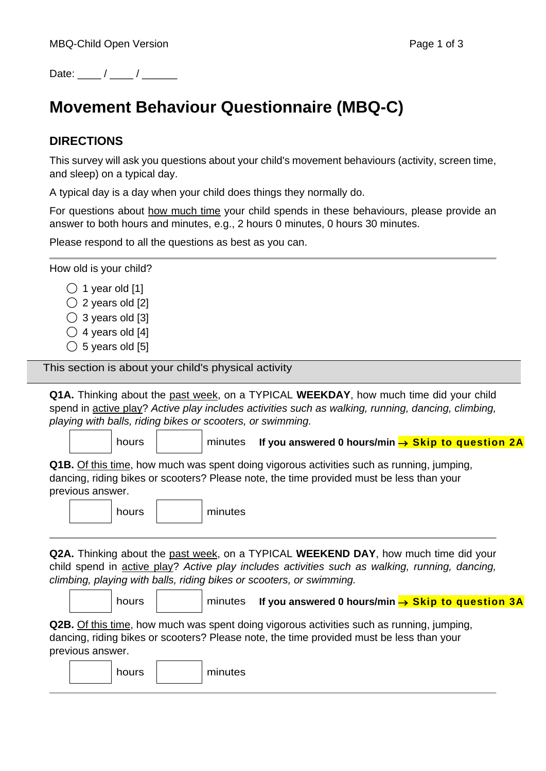Date:  $\frac{1}{2}$  /  $\frac{1}{2}$ 

## **Movement Behaviour Questionnaire (MBQ-C)**

### **DIRECTIONS**

This survey will ask you questions about your child's movement behaviours (activity, screen time, and sleep) on a typical day.

A typical day is a day when your child does things they normally do.

For questions about how much time your child spends in these behaviours, please provide an answer to both hours and minutes, e.g., 2 hours 0 minutes, 0 hours 30 minutes.

Please respond to all the questions as best as you can.

How old is your child?

- $\bigcirc$  1 year old [1]
- $\bigcirc$  2 years old [2]
- $\bigcirc$  3 years old [3]
- $\bigcirc$  4 years old [4]
- $\bigcirc$  5 years old [5]

This section is about your child's physical activity

**Q1A.** Thinking about the past week, on a TYPICAL **WEEKDAY**, how much time did your child spend in active play? *Active play includes activities such as walking, running, dancing, climbing, playing with balls, riding bikes or scooters, or swimming.*

hours **hours ninutes** If you answered 0 hours/min → Skip to question 2A

**Q1B.** Of this time, how much was spent doing vigorous activities such as running, jumping, dancing, riding bikes or scooters? Please note, the time provided must be less than your previous answer.

┑

 $\blacksquare$ 

 $\Gamma$ 

hours minutes

**Q2A.** Thinking about the past week, on a TYPICAL **WEEKEND DAY**, how much time did your child spend in active play? *Active play includes activities such as walking, running, dancing, climbing, playing with balls, riding bikes or scooters, or swimming.*

|  | hours |  | $\parallel$ minutes If you answered 0 hours/min $\rightarrow$ Skip to question 3A |  |
|--|-------|--|-----------------------------------------------------------------------------------|--|
|--|-------|--|-----------------------------------------------------------------------------------|--|

**Q2B.** Of this time, how much was spent doing vigorous activities such as running, jumping, dancing, riding bikes or scooters? Please note, the time provided must be less than your previous answer.

|  |  |  | hours |  | minutes |
|--|--|--|-------|--|---------|
|--|--|--|-------|--|---------|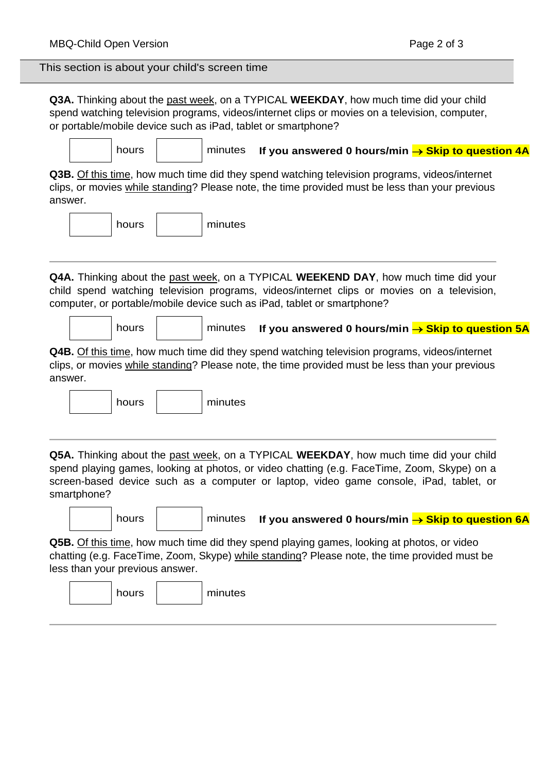## **Q3A.** Thinking about the past week, on a TYPICAL **WEEKDAY**, how much time did your child spend watching television programs, videos/internet clips or movies on a television, computer, or portable/mobile device such as iPad, tablet or smartphone? hours **hours** minutes **If you answered 0 hours/min → Skip to question 4A Q3B.** Of this time, how much time did they spend watching television programs, videos/internet clips, or movies while standing? Please note, the time provided must be less than your previous answer. hours | minutes **Q4A.** Thinking about the past week, on a TYPICAL **WEEKEND DAY**, how much time did your child spend watching television programs, videos/internet clips or movies on a television, computer, or portable/mobile device such as iPad, tablet or smartphone? hours **contable minutes If you answered 0 hours/min → Skip to question 5A Q4B.** Of this time, how much time did they spend watching television programs, videos/internet clips, or movies while standing? Please note, the time provided must be less than your previous answer. hours minutes **Q5A.** Thinking about the past week, on a TYPICAL **WEEKDAY**, how much time did your child spend playing games, looking at photos, or video chatting (e.g. FaceTime, Zoom, Skype) on a screen-based device such as a computer or laptop, video game console, iPad, tablet, or smartphone? hours **hours** minutes **If you answered 0 hours/min → Skip to question 6A Q5B.** Of this time, how much time did they spend playing games, looking at photos, or video chatting (e.g. FaceTime, Zoom, Skype) while standing? Please note, the time provided must be less than your previous answer. hours | minutes This section is about your child's screen time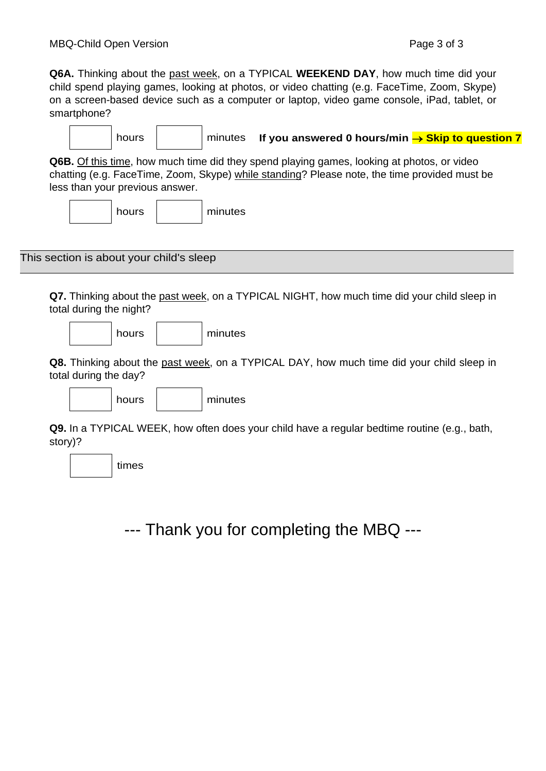$\overline{\phantom{a}}$ 

**Q6A.** Thinking about the past week, on a TYPICAL **WEEKEND DAY**, how much time did your child spend playing games, looking at photos, or video chatting (e.g. FaceTime, Zoom, Skype) on a screen-based device such as a computer or laptop, video game console, iPad, tablet, or smartphone?

|                                                                                                                                                                                                                               | hours                                    |  | minutes | If you answered 0 hours/min $\rightarrow$ Skip to question 7 |  |  |
|-------------------------------------------------------------------------------------------------------------------------------------------------------------------------------------------------------------------------------|------------------------------------------|--|---------|--------------------------------------------------------------|--|--|
| Q6B. Of this time, how much time did they spend playing games, looking at photos, or video<br>chatting (e.g. FaceTime, Zoom, Skype) while standing? Please note, the time provided must be<br>less than your previous answer. |                                          |  |         |                                                              |  |  |
|                                                                                                                                                                                                                               | hours                                    |  | minutes |                                                              |  |  |
|                                                                                                                                                                                                                               | This section is about your child's sleep |  |         |                                                              |  |  |

**Q7.** Thinking about the past week, on a TYPICAL NIGHT, how much time did your child sleep in total during the night?

|  |  |  | hours |  | minutes |
|--|--|--|-------|--|---------|
|--|--|--|-------|--|---------|

 $\Gamma$ 

 $\overline{\phantom{a}}$ 

**Q8.** Thinking about the past week, on a TYPICAL DAY, how much time did your child sleep in total during the day?

hours minutes

**Q9.** In a TYPICAL WEEK, how often does your child have a regular bedtime routine (e.g., bath, story)?

times

--- Thank you for completing the MBQ ---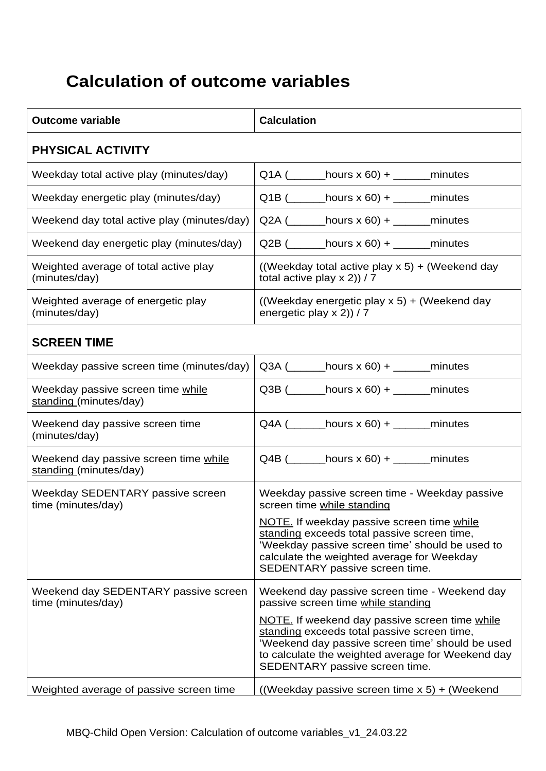## **Calculation of outcome variables**

| <b>Outcome variable</b>                                         | <b>Calculation</b>                                                                                                                                                                                                                                                                                                              |
|-----------------------------------------------------------------|---------------------------------------------------------------------------------------------------------------------------------------------------------------------------------------------------------------------------------------------------------------------------------------------------------------------------------|
| <b>PHYSICAL ACTIVITY</b>                                        |                                                                                                                                                                                                                                                                                                                                 |
| Weekday total active play (minutes/day)                         | $Q1A$ ( __________ hours x 60) + ________ minutes                                                                                                                                                                                                                                                                               |
| Weekday energetic play (minutes/day)                            | $Q1B$ ( _________ hours x 60) + ________ minutes                                                                                                                                                                                                                                                                                |
| Weekend day total active play (minutes/day)                     | $Q2A$ ( __________ hours x 60) + ________ minutes                                                                                                                                                                                                                                                                               |
| Weekend day energetic play (minutes/day)                        | $Q2B$ ( _________ hours x 60) + ________ minutes                                                                                                                                                                                                                                                                                |
| Weighted average of total active play<br>(minutes/day)          | ((Weekday total active play $x 5$ ) + (Weekend day<br>total active play $x$ 2)) / 7                                                                                                                                                                                                                                             |
| Weighted average of energetic play<br>(minutes/day)             | ((Weekday energetic play x 5) + (Weekend day<br>energetic play $x$ 2)) / 7                                                                                                                                                                                                                                                      |
| <b>SCREEN TIME</b>                                              |                                                                                                                                                                                                                                                                                                                                 |
| Weekday passive screen time (minutes/day)                       |                                                                                                                                                                                                                                                                                                                                 |
| Weekday passive screen time while<br>standing (minutes/day)     | $Q3B$ ( _______hours x 60) + _______minutes                                                                                                                                                                                                                                                                                     |
| Weekend day passive screen time<br>(minutes/day)                | $Q4A$ ( ________hours x 60) + ________minutes                                                                                                                                                                                                                                                                                   |
| Weekend day passive screen time while<br>standing (minutes/day) | $Q4B$ ( ________hours x 60) + ________minutes                                                                                                                                                                                                                                                                                   |
| Weekday SEDENTARY passive screen<br>time (minutes/day)          | Weekday passive screen time - Weekday passive<br>screen time while standing<br>NOTE. If weekday passive screen time while<br>standing exceeds total passive screen time,<br>'Weekday passive screen time' should be used to<br>calculate the weighted average for Weekday<br>SEDENTARY passive screen time.                     |
| Weekend day SEDENTARY passive screen<br>time (minutes/day)      | Weekend day passive screen time - Weekend day<br>passive screen time while standing<br>NOTE. If weekend day passive screen time while<br>standing exceeds total passive screen time,<br>'Weekend day passive screen time' should be used<br>to calculate the weighted average for Weekend day<br>SEDENTARY passive screen time. |
| Weighted average of passive screen time                         | ((Weekday passive screen time x 5) + (Weekend                                                                                                                                                                                                                                                                                   |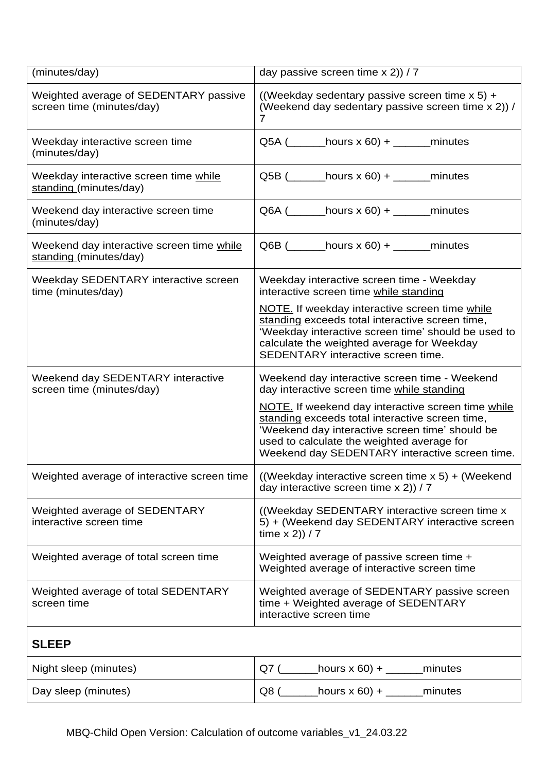| (minutes/day)                                                       | day passive screen time $x 2$ )) / 7                                                                                                                                                                                                                                                                                                                    |
|---------------------------------------------------------------------|---------------------------------------------------------------------------------------------------------------------------------------------------------------------------------------------------------------------------------------------------------------------------------------------------------------------------------------------------------|
| Weighted average of SEDENTARY passive<br>screen time (minutes/day)  | ((Weekday sedentary passive screen time $x 5$ ) +<br>(Weekend day sedentary passive screen time x 2)) /<br>$\overline{7}$                                                                                                                                                                                                                               |
| Weekday interactive screen time<br>(minutes/day)                    | $Q5A$ ( ________hours x 60) + ________minutes                                                                                                                                                                                                                                                                                                           |
| Weekday interactive screen time while<br>standing (minutes/day)     | $Q5B$ ( _________ hours x 60) + ________ minutes                                                                                                                                                                                                                                                                                                        |
| Weekend day interactive screen time<br>(minutes/day)                | $Q6A$ ( ________hours x 60) + ________minutes                                                                                                                                                                                                                                                                                                           |
| Weekend day interactive screen time while<br>standing (minutes/day) | $Q6B$ ( _________ hours x 60) + ________ minutes                                                                                                                                                                                                                                                                                                        |
| Weekday SEDENTARY interactive screen<br>time (minutes/day)          | Weekday interactive screen time - Weekday<br>interactive screen time while standing<br>NOTE. If weekday interactive screen time while<br>standing exceeds total interactive screen time,<br>'Weekday interactive screen time' should be used to<br>calculate the weighted average for Weekday<br>SEDENTARY interactive screen time.                     |
| Weekend day SEDENTARY interactive<br>screen time (minutes/day)      | Weekend day interactive screen time - Weekend<br>day interactive screen time while standing<br>NOTE. If weekend day interactive screen time while<br>standing exceeds total interactive screen time,<br>'Weekend day interactive screen time' should be<br>used to calculate the weighted average for<br>Weekend day SEDENTARY interactive screen time. |
| Weighted average of interactive screen time                         | ((Weekday interactive screen time x 5) + (Weekend<br>day interactive screen time $x 2$ )) / 7                                                                                                                                                                                                                                                           |
| Weighted average of SEDENTARY<br>interactive screen time            | ((Weekday SEDENTARY interactive screen time x)<br>5) + (Weekend day SEDENTARY interactive screen<br>time $x 2)$ ) / 7                                                                                                                                                                                                                                   |
| Weighted average of total screen time                               | Weighted average of passive screen time +<br>Weighted average of interactive screen time                                                                                                                                                                                                                                                                |
| Weighted average of total SEDENTARY<br>screen time                  | Weighted average of SEDENTARY passive screen<br>time + Weighted average of SEDENTARY<br>interactive screen time                                                                                                                                                                                                                                         |
| <b>SLEEP</b>                                                        |                                                                                                                                                                                                                                                                                                                                                         |
| Night sleep (minutes)                                               | Q7 $($<br>hours x 60) + $\_\_$<br>minutes                                                                                                                                                                                                                                                                                                               |
| Day sleep (minutes)                                                 | Q8 (_<br>hours x 60) + $\_\_$<br>minutes                                                                                                                                                                                                                                                                                                                |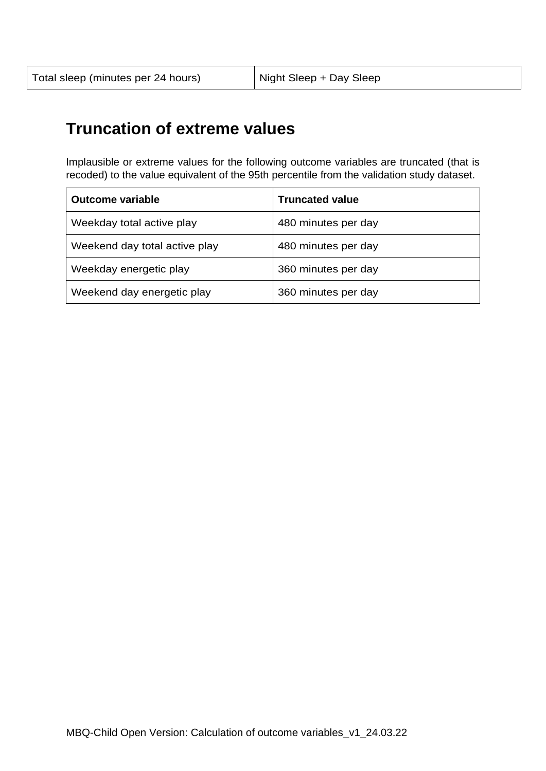## **Truncation of extreme values**

Implausible or extreme values for the following outcome variables are truncated (that is recoded) to the value equivalent of the 95th percentile from the validation study dataset.

| <b>Outcome variable</b>       | <b>Truncated value</b> |
|-------------------------------|------------------------|
| Weekday total active play     | 480 minutes per day    |
| Weekend day total active play | 480 minutes per day    |
| Weekday energetic play        | 360 minutes per day    |
| Weekend day energetic play    | 360 minutes per day    |